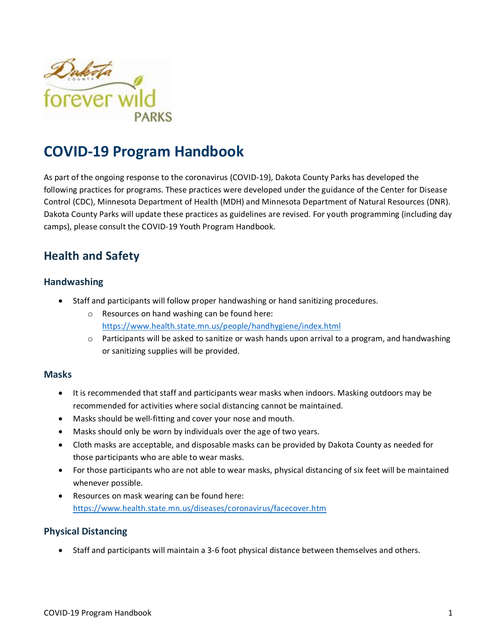

# **COVID-19 Program Handbook**

As part of the ongoing response to the coronavirus (COVID-19), Dakota County Parks has developed the following practices for programs. These practices were developed under the guidance of the Center for Disease Control (CDC), Minnesota Department of Health (MDH) and Minnesota Department of Natural Resources (DNR). Dakota County Parks will update these practices as guidelines are revised. For youth programming (including day camps), please consult the COVID-19 Youth Program Handbook.

## **Health and Safety**

#### **Handwashing**

- Staff and participants will follow proper handwashing or hand sanitizing procedures.
	- o Resources on hand washing can be found here: <https://www.health.state.mn.us/people/handhygiene/index.html>
	- $\circ$  Participants will be asked to sanitize or wash hands upon arrival to a program, and handwashing or sanitizing supplies will be provided.

#### **Masks**

- It is recommended that staff and participants wear masks when indoors. Masking outdoors may be recommended for activities where social distancing cannot be maintained.
- Masks should be well-fitting and cover your nose and mouth.
- Masks should only be worn by individuals over the age of two years.
- Cloth masks are acceptable, and disposable masks can be provided by Dakota County as needed for those participants who are able to wear masks.
- For those participants who are not able to wear masks, physical distancing of six feet will be maintained whenever possible.
- Resources on mask wearing can be found here: <https://www.health.state.mn.us/diseases/coronavirus/facecover.htm>

#### **Physical Distancing**

• Staff and participants will maintain a 3-6 foot physical distance between themselves and others.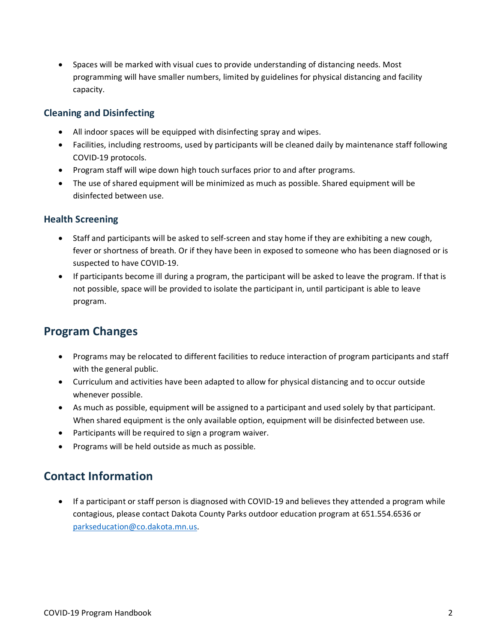• Spaces will be marked with visual cues to provide understanding of distancing needs. Most programming will have smaller numbers, limited by guidelines for physical distancing and facility capacity.

#### **Cleaning and Disinfecting**

- All indoor spaces will be equipped with disinfecting spray and wipes.
- Facilities, including restrooms, used by participants will be cleaned daily by maintenance staff following COVID-19 protocols.
- Program staff will wipe down high touch surfaces prior to and after programs.
- The use of shared equipment will be minimized as much as possible. Shared equipment will be disinfected between use.

#### **Health Screening**

- Staff and participants will be asked to self-screen and stay home if they are exhibiting a new cough, fever or shortness of breath. Or if they have been in exposed to someone who has been diagnosed or is suspected to have COVID-19.
- If participants become ill during a program, the participant will be asked to leave the program. If that is not possible, space will be provided to isolate the participant in, until participant is able to leave program.

### **Program Changes**

- Programs may be relocated to different facilities to reduce interaction of program participants and staff with the general public.
- Curriculum and activities have been adapted to allow for physical distancing and to occur outside whenever possible.
- As much as possible, equipment will be assigned to a participant and used solely by that participant. When shared equipment is the only available option, equipment will be disinfected between use.
- Participants will be required to sign a program waiver.
- Programs will be held outside as much as possible.

### **Contact Information**

• If a participant or staff person is diagnosed with COVID-19 and believes they attended a program while contagious, please contact Dakota County Parks outdoor education program at 651.554.6536 or [parkseducation@co.dakota.mn.us.](mailto:parkseducation@co.dakota.mn.us)